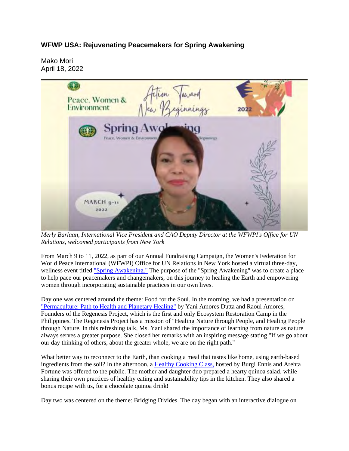## **WFWP USA: Rejuvenating Peacemakers for Spring Awakening**

Mako Mori April 18, 2022



*Merly Barlaan, International Vice President and CAO Deputy Director at the WFWPI's Office for UN Relations, welcomed participants from New York*

From March 9 to 11, 2022, as part of our Annual Fundraising Campaign, the Women's Federation for World Peace International (WFWPI) Office for UN Relations in New York hosted a virtual three-day, wellness event titled "Spring Awakening." The purpose of the "Spring Awakening" was to create a place to help pace our peacemakers and changemakers, on this journey to healing the Earth and empowering women through incorporating sustainable practices in our own lives.

Day one was centered around the theme: Food for the Soul. In the morning, we had a presentation on "Permaculture: Path to Health and Planetary Healing" by Yani Amores Dutta and Raoul Amores, Founders of the Regenesis Project, which is the first and only Ecosystem Restoration Camp in the Philippines. The Regenesis Project has a mission of "Healing Nature through People, and Healing People through Nature. In this refreshing talk, Ms. Yani shared the importance of learning from nature as nature always serves a greater purpose. She closed her remarks with an inspiring message stating "If we go about our day thinking of others, about the greater whole, we are on the right path."

What better way to reconnect to the Earth, than cooking a meal that tastes like home, using earth-based ingredients from the soil? In the afternoon, a Healthy Cooking Class, hosted by Burgi Ennis and Arehta Fortune was offered to the public. The mother and daughter duo prepared a hearty quinoa salad, while sharing their own practices of healthy eating and sustainability tips in the kitchen. They also shared a bonus recipe with us, for a chocolate quinoa drink!

Day two was centered on the theme: Bridging Divides. The day began with an interactive dialogue on